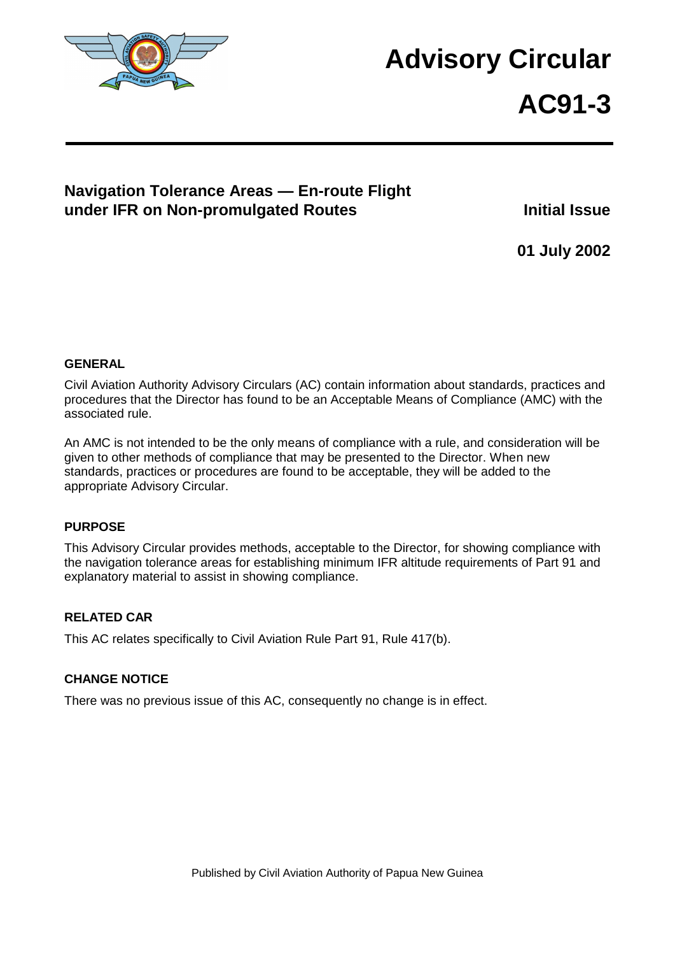

# **Advisory Circular**

# **AC91-3**

## **Navigation Tolerance Areas — En-route Flight under IFR on Non-promulgated Routes Initial Issue**

**01 July 2002** 

#### **GENERAL**

Civil Aviation Authority Advisory Circulars (AC) contain information about standards, practices and procedures that the Director has found to be an Acceptable Means of Compliance (AMC) with the associated rule.

An AMC is not intended to be the only means of compliance with a rule, and consideration will be given to other methods of compliance that may be presented to the Director. When new standards, practices or procedures are found to be acceptable, they will be added to the appropriate Advisory Circular.

#### **PURPOSE**

This Advisory Circular provides methods, acceptable to the Director, for showing compliance with the navigation tolerance areas for establishing minimum IFR altitude requirements of Part 91 and explanatory material to assist in showing compliance.

#### **RELATED CAR**

This AC relates specifically to Civil Aviation Rule Part 91, Rule 417(b).

#### **CHANGE NOTICE**

There was no previous issue of this AC, consequently no change is in effect.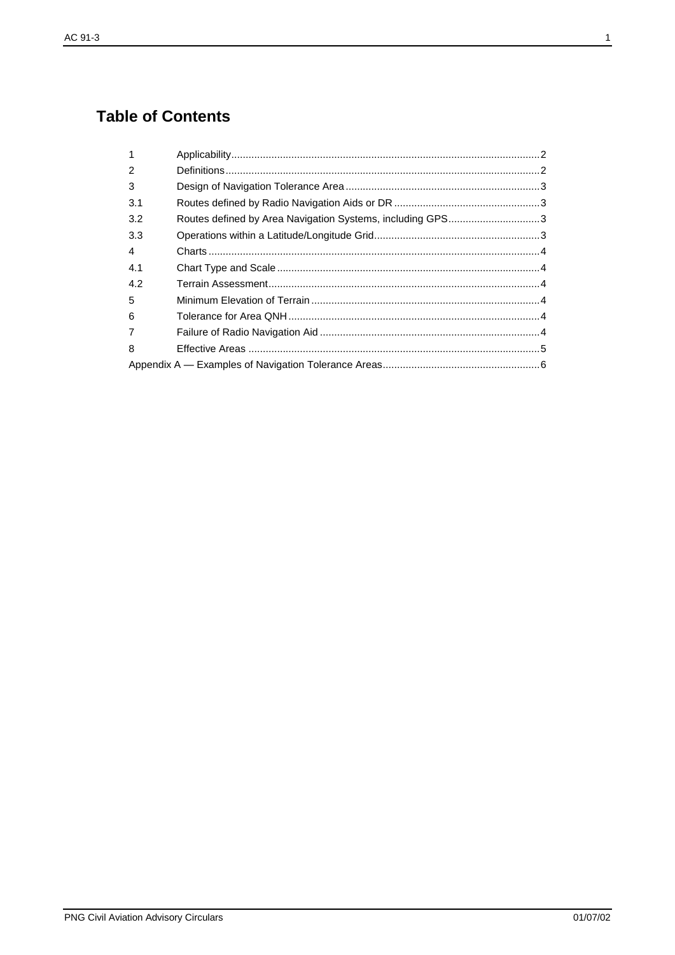# **Table of Contents**

| Routes defined by Area Navigation Systems, including GPS3 |
|-----------------------------------------------------------|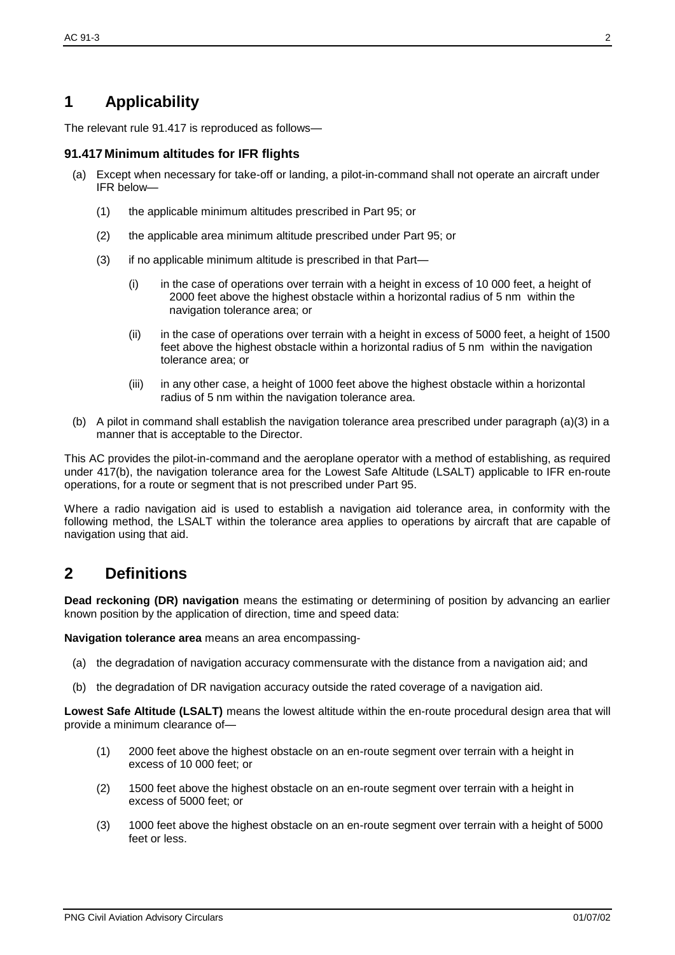# **1 Applicability**

The relevant rule 91.417 is reproduced as follows—

#### **91.417 Minimum altitudes for IFR flights**

- (a) Except when necessary for take-off or landing, a pilot-in-command shall not operate an aircraft under IFR below—
	- (1) the applicable minimum altitudes prescribed in Part 95; or
	- (2) the applicable area minimum altitude prescribed under Part 95; or
	- (3) if no applicable minimum altitude is prescribed in that Part—
		- (i) in the case of operations over terrain with a height in excess of 10 000 feet, a height of 2000 feet above the highest obstacle within a horizontal radius of 5 nm within the navigation tolerance area; or
		- (ii) in the case of operations over terrain with a height in excess of 5000 feet, a height of 1500 feet above the highest obstacle within a horizontal radius of 5 nm within the navigation tolerance area; or
		- (iii) in any other case, a height of 1000 feet above the highest obstacle within a horizontal radius of 5 nm within the navigation tolerance area.
- (b) A pilot in command shall establish the navigation tolerance area prescribed under paragraph (a)(3) in a manner that is acceptable to the Director.

This AC provides the pilot-in-command and the aeroplane operator with a method of establishing, as required under 417(b), the navigation tolerance area for the Lowest Safe Altitude (LSALT) applicable to IFR en-route operations, for a route or segment that is not prescribed under Part 95.

Where a radio navigation aid is used to establish a navigation aid tolerance area, in conformity with the following method, the LSALT within the tolerance area applies to operations by aircraft that are capable of navigation using that aid.

## **2 Definitions**

**Dead reckoning (DR) navigation** means the estimating or determining of position by advancing an earlier known position by the application of direction, time and speed data:

**Navigation tolerance area** means an area encompassing-

- (a) the degradation of navigation accuracy commensurate with the distance from a navigation aid; and
- (b) the degradation of DR navigation accuracy outside the rated coverage of a navigation aid.

**Lowest Safe Altitude (LSALT)** means the lowest altitude within the en-route procedural design area that will provide a minimum clearance of—

- (1) 2000 feet above the highest obstacle on an en-route segment over terrain with a height in excess of 10 000 feet; or
- (2) 1500 feet above the highest obstacle on an en-route segment over terrain with a height in excess of 5000 feet; or
- (3) 1000 feet above the highest obstacle on an en-route segment over terrain with a height of 5000 feet or less.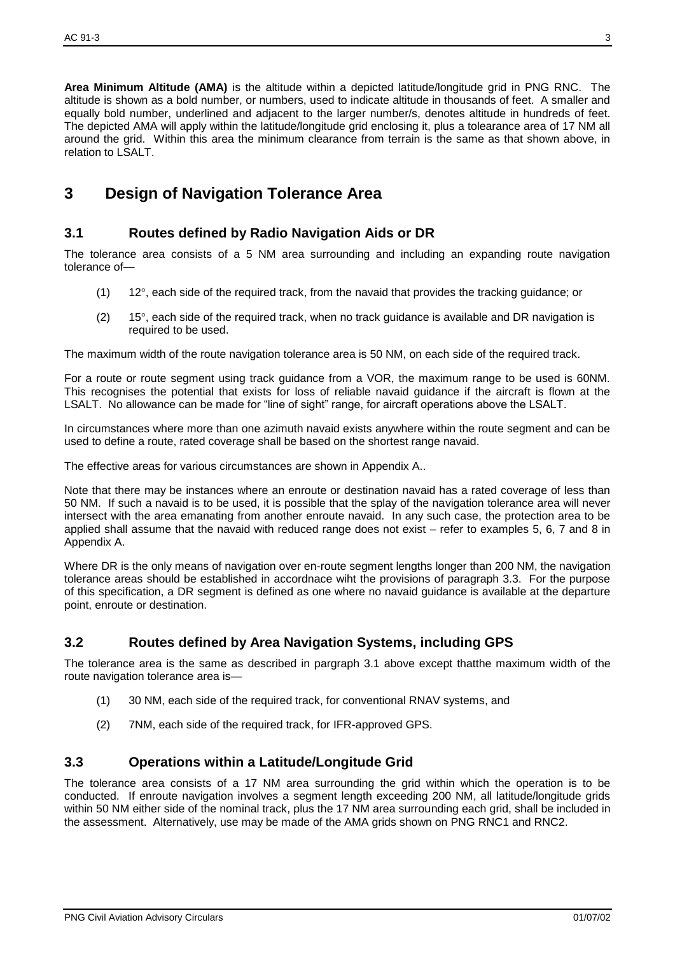**Area Minimum Altitude (AMA)** is the altitude within a depicted latitude/longitude grid in PNG RNC. The altitude is shown as a bold number, or numbers, used to indicate altitude in thousands of feet. A smaller and equally bold number, underlined and adjacent to the larger number/s, denotes altitude in hundreds of feet. The depicted AMA will apply within the latitude/longitude grid enclosing it, plus a tolearance area of 17 NM all around the grid. Within this area the minimum clearance from terrain is the same as that shown above, in relation to LSALT.

# **3 Design of Navigation Tolerance Area**

#### **3.1 Routes defined by Radio Navigation Aids or DR**

The tolerance area consists of a 5 NM area surrounding and including an expanding route navigation tolerance of—

- $(1)$  12°, each side of the required track, from the navaid that provides the tracking guidance; or
- $(2)$  15°, each side of the required track, when no track guidance is available and DR navigation is required to be used.

The maximum width of the route navigation tolerance area is 50 NM, on each side of the required track.

For a route or route segment using track guidance from a VOR, the maximum range to be used is 60NM. This recognises the potential that exists for loss of reliable navaid guidance if the aircraft is flown at the LSALT. No allowance can be made for "line of sight" range, for aircraft operations above the LSALT.

In circumstances where more than one azimuth navaid exists anywhere within the route segment and can be used to define a route, rated coverage shall be based on the shortest range navaid.

The effective areas for various circumstances are shown in Appendix A..

Note that there may be instances where an enroute or destination navaid has a rated coverage of less than 50 NM. If such a navaid is to be used, it is possible that the splay of the navigation tolerance area will never intersect with the area emanating from another enroute navaid. In any such case, the protection area to be applied shall assume that the navaid with reduced range does not exist – refer to examples 5, 6, 7 and 8 in Appendix A.

Where DR is the only means of navigation over en-route segment lengths longer than 200 NM, the navigation tolerance areas should be established in accordnace wiht the provisions of paragraph 3.3. For the purpose of this specification, a DR segment is defined as one where no navaid guidance is available at the departure point, enroute or destination.

#### **3.2 Routes defined by Area Navigation Systems, including GPS**

The tolerance area is the same as described in pargraph 3.1 above except thatthe maximum width of the route navigation tolerance area is—

- (1) 30 NM, each side of the required track, for conventional RNAV systems, and
- (2) 7NM, each side of the required track, for IFR-approved GPS.

#### **3.3 Operations within a Latitude/Longitude Grid**

The tolerance area consists of a 17 NM area surrounding the grid within which the operation is to be conducted. If enroute navigation involves a segment length exceeding 200 NM, all latitude/longitude grids within 50 NM either side of the nominal track, plus the 17 NM area surrounding each grid, shall be included in the assessment. Alternatively, use may be made of the AMA grids shown on PNG RNC1 and RNC2.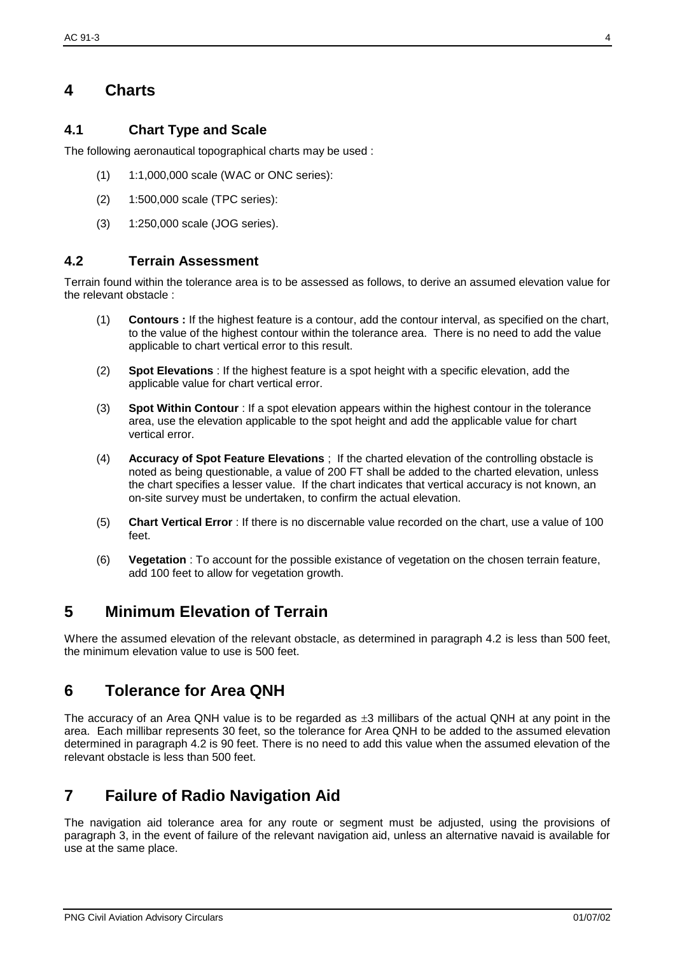## **4 Charts**

#### **4.1 Chart Type and Scale**

The following aeronautical topographical charts may be used :

- (1) 1:1,000,000 scale (WAC or ONC series):
- (2) 1:500,000 scale (TPC series):
- (3) 1:250,000 scale (JOG series).

#### **4.2 Terrain Assessment**

Terrain found within the tolerance area is to be assessed as follows, to derive an assumed elevation value for the relevant obstacle :

- (1) **Contours :** If the highest feature is a contour, add the contour interval, as specified on the chart, to the value of the highest contour within the tolerance area. There is no need to add the value applicable to chart vertical error to this result.
- (2) **Spot Elevations** : If the highest feature is a spot height with a specific elevation, add the applicable value for chart vertical error.
- (3) **Spot Within Contour** : If a spot elevation appears within the highest contour in the tolerance area, use the elevation applicable to the spot height and add the applicable value for chart vertical error.
- (4) **Accuracy of Spot Feature Elevations** ; If the charted elevation of the controlling obstacle is noted as being questionable, a value of 200 FT shall be added to the charted elevation, unless the chart specifies a lesser value. If the chart indicates that vertical accuracy is not known, an on-site survey must be undertaken, to confirm the actual elevation.
- (5) **Chart Vertical Error** : If there is no discernable value recorded on the chart, use a value of 100 feet.
- (6) **Vegetation** : To account for the possible existance of vegetation on the chosen terrain feature, add 100 feet to allow for vegetation growth.

## **5 Minimum Elevation of Terrain**

Where the assumed elevation of the relevant obstacle, as determined in paragraph 4.2 is less than 500 feet, the minimum elevation value to use is 500 feet.

### **6 Tolerance for Area QNH**

The accuracy of an Area QNH value is to be regarded as  $\pm 3$  millibars of the actual QNH at any point in the area. Each millibar represents 30 feet, so the tolerance for Area QNH to be added to the assumed elevation determined in paragraph 4.2 is 90 feet. There is no need to add this value when the assumed elevation of the relevant obstacle is less than 500 feet.

## **7 Failure of Radio Navigation Aid**

The navigation aid tolerance area for any route or segment must be adjusted, using the provisions of paragraph 3, in the event of failure of the relevant navigation aid, unless an alternative navaid is available for use at the same place.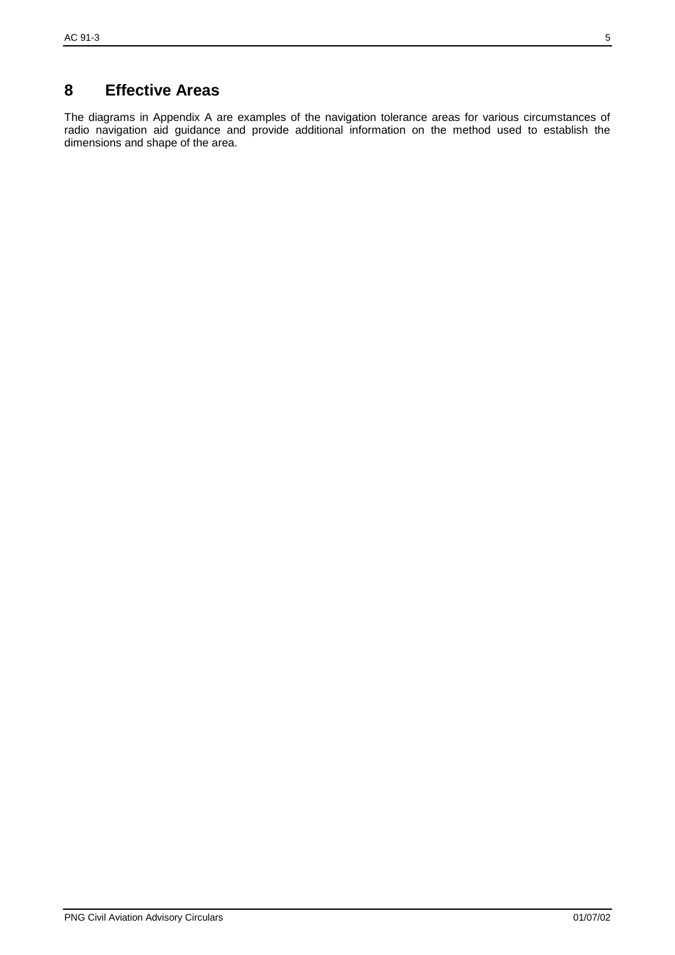# **8 Effective Areas**

The diagrams in Appendix A are examples of the navigation tolerance areas for various circumstances of radio navigation aid guidance and provide additional information on the method used to establish the dimensions and shape of the area.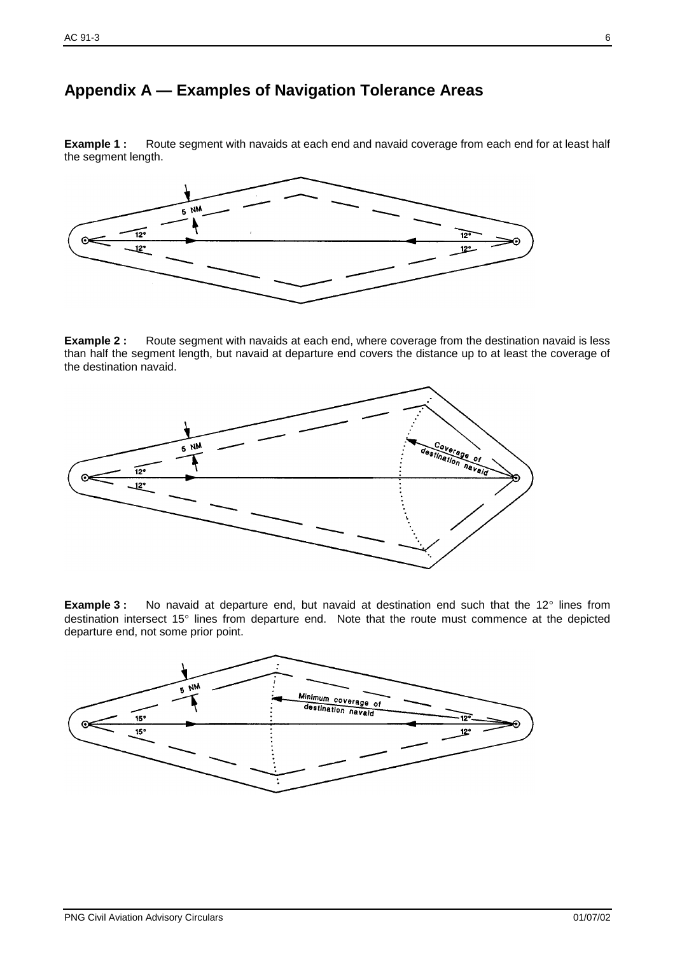### **Appendix A — Examples of Navigation Tolerance Areas**

**Example 1 :** Route segment with navaids at each end and navaid coverage from each end for at least half the segment length.



**Example 2 :** Route segment with navaids at each end, where coverage from the destination navaid is less than half the segment length, but navaid at departure end covers the distance up to at least the coverage of the destination navaid.



**Example 3 :** No navaid at departure end, but navaid at destination end such that the 12° lines from destination intersect 15° lines from departure end. Note that the route must commence at the depicted departure end, not some prior point.

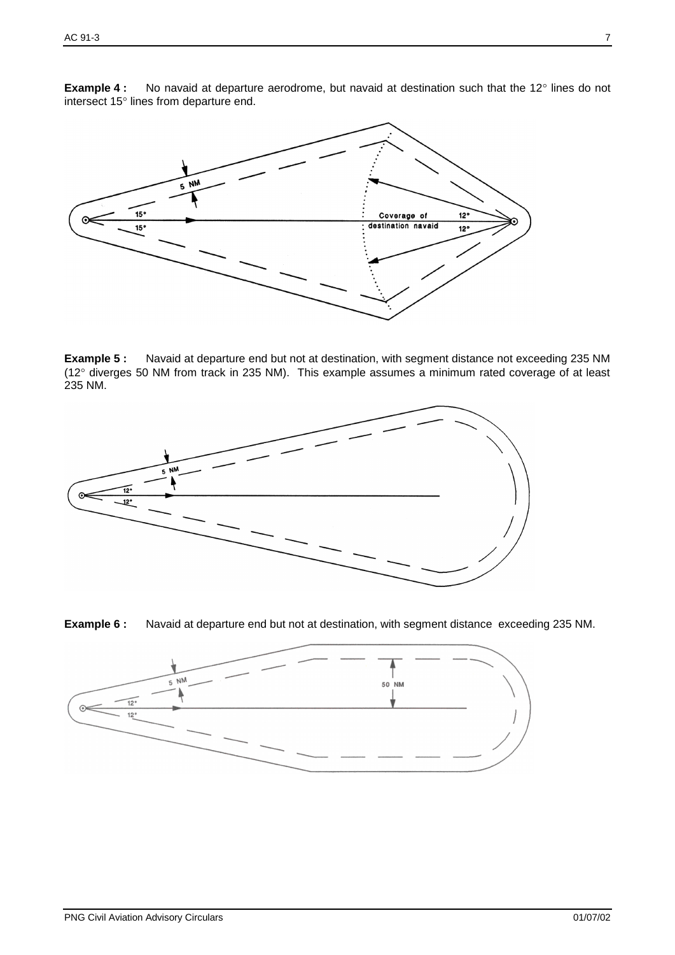**Example 4 :** No navaid at departure aerodrome, but navaid at destination such that the 12° lines do not intersect 15° lines from departure end.



**Example 5 :** Navaid at departure end but not at destination, with segment distance not exceeding 235 NM (12° diverges 50 NM from track in 235 NM). This example assumes a minimum rated coverage of at least 235 NM.





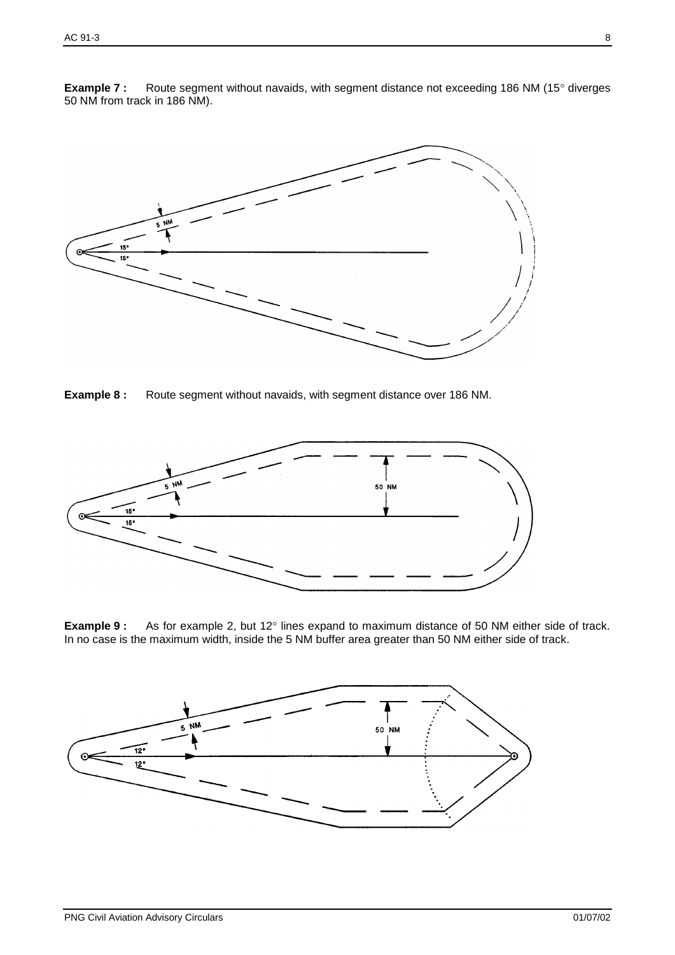

**Example 7 :** Route segment without navaids, with segment distance not exceeding 186 NM (15° diverges 50 NM from track in 186 NM).

**Example 8 :** Route segment without navaids, with segment distance over 186 NM.



**Example 9 :** As for example 2, but 12° lines expand to maximum distance of 50 NM either side of track. In no case is the maximum width, inside the 5 NM buffer area greater than 50 NM either side of track.

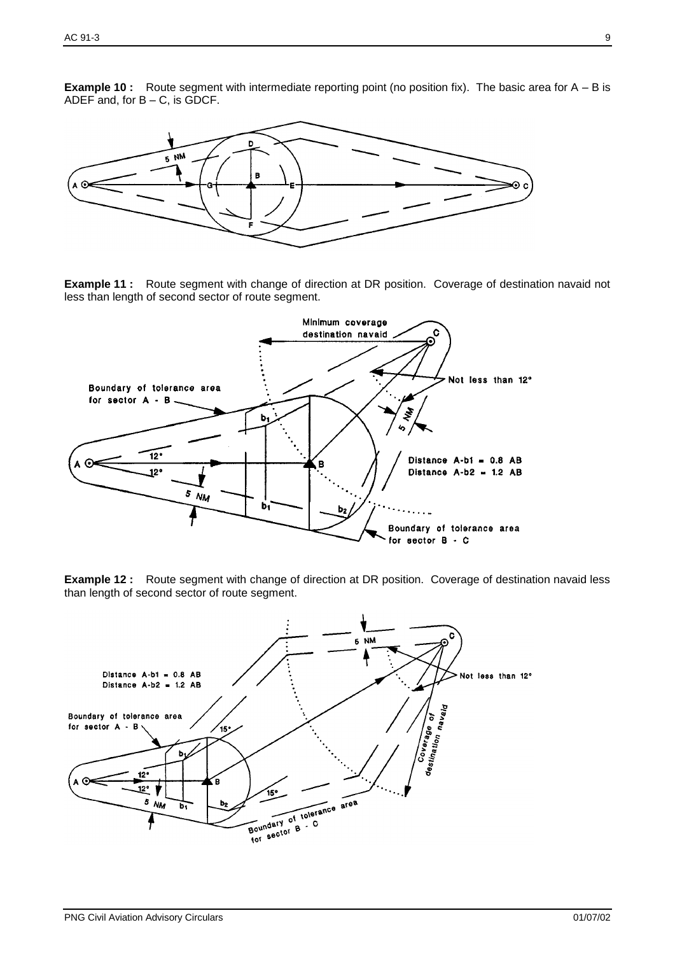**Example 10 :** Route segment with intermediate reporting point (no position fix). The basic area for A – B is ADEF and, for B – C, is GDCF.



**Example 11 :** Route segment with change of direction at DR position. Coverage of destination navaid not less than length of second sector of route segment.



**Example 12 :** Route segment with change of direction at DR position. Coverage of destination navaid less than length of second sector of route segment.